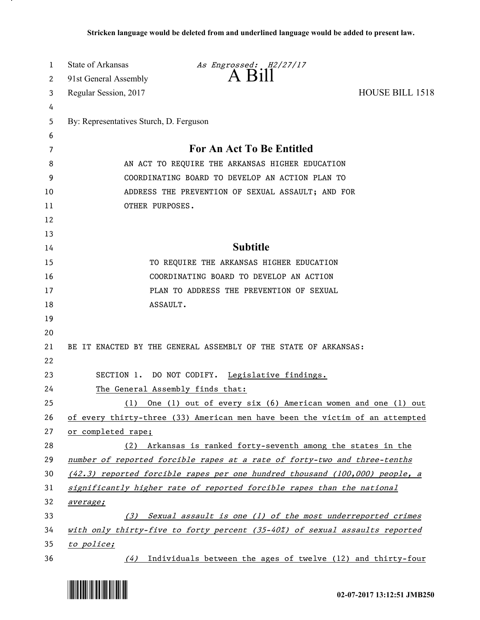| 1  | State of Arkansas                       | As Engrossed: H2/27/17                                                        |                        |
|----|-----------------------------------------|-------------------------------------------------------------------------------|------------------------|
| 2  | 91st General Assembly                   | A Bill                                                                        |                        |
| 3  | Regular Session, 2017                   |                                                                               | <b>HOUSE BILL 1518</b> |
| 4  |                                         |                                                                               |                        |
| 5  | By: Representatives Sturch, D. Ferguson |                                                                               |                        |
| 6  |                                         |                                                                               |                        |
| 7  |                                         | For An Act To Be Entitled                                                     |                        |
| 8  |                                         | AN ACT TO REQUIRE THE ARKANSAS HIGHER EDUCATION                               |                        |
| 9  |                                         | COORDINATING BOARD TO DEVELOP AN ACTION PLAN TO                               |                        |
| 10 |                                         | ADDRESS THE PREVENTION OF SEXUAL ASSAULT; AND FOR                             |                        |
| 11 | OTHER PURPOSES.                         |                                                                               |                        |
| 12 |                                         |                                                                               |                        |
| 13 |                                         |                                                                               |                        |
| 14 |                                         | <b>Subtitle</b>                                                               |                        |
| 15 |                                         | TO REQUIRE THE ARKANSAS HIGHER EDUCATION                                      |                        |
| 16 |                                         | COORDINATING BOARD TO DEVELOP AN ACTION                                       |                        |
| 17 |                                         | PLAN TO ADDRESS THE PREVENTION OF SEXUAL                                      |                        |
| 18 | ASSAULT.                                |                                                                               |                        |
| 19 |                                         |                                                                               |                        |
| 20 |                                         |                                                                               |                        |
| 21 |                                         | BE IT ENACTED BY THE GENERAL ASSEMBLY OF THE STATE OF ARKANSAS:               |                        |
| 22 |                                         |                                                                               |                        |
| 23 |                                         | SECTION 1. DO NOT CODIFY. Legislative findings.                               |                        |
| 24 |                                         | The General Assembly finds that:                                              |                        |
| 25 |                                         | (1) One (1) out of every six (6) American women and one (1) out               |                        |
| 26 |                                         | of every thirty-three (33) American men have been the victim of an attempted  |                        |
| 27 | or completed rape;                      |                                                                               |                        |
| 28 |                                         | (2) Arkansas is ranked forty-seventh among the states in the                  |                        |
| 29 |                                         | number of reported forcible rapes at a rate of forty-two and three-tenths     |                        |
| 30 |                                         | $(42.3)$ reported forcible rapes per one hundred thousand (100,000) people, a |                        |
| 31 |                                         | significantly higher rate of reported forcible rapes than the national        |                        |
| 32 | average;                                |                                                                               |                        |
| 33 |                                         | (3) Sexual assault is one (1) of the most underreported crimes                |                        |
| 34 |                                         | with only thirty-five to forty percent (35-40%) of sexual assaults reported   |                        |
| 35 | to police;                              |                                                                               |                        |
| 36 |                                         | $(4)$ Individuals between the ages of twelve (12) and thirty-four             |                        |



.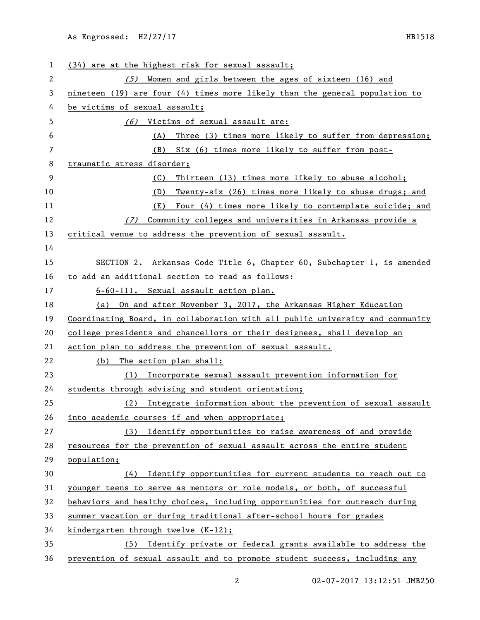| 1  | (34) are at the highest risk for sexual assault;                              |  |  |
|----|-------------------------------------------------------------------------------|--|--|
| 2  | $(5)$ Women and girls between the ages of sixteen (16) and                    |  |  |
| 3  | nineteen (19) are four (4) times more likely than the general population to   |  |  |
| 4  | be victims of sexual assault;                                                 |  |  |
| 5  | (6) Victims of sexual assault are:                                            |  |  |
| 6  | Three (3) times more likely to suffer from depression;<br>(A)                 |  |  |
| 7  | Six (6) times more likely to suffer from post-<br>(B)                         |  |  |
| 8  | traumatic stress disorder;                                                    |  |  |
| 9  | Thirteen (13) times more likely to abuse alcohol;<br>(C)                      |  |  |
| 10 | (D)<br>Twenty-six (26) times more likely to abuse drugs; and                  |  |  |
| 11 | Four (4) times more likely to contemplate suicide; and<br>(E)                 |  |  |
| 12 | Community colleges and universities in Arkansas provide a<br>(7)              |  |  |
| 13 | critical venue to address the prevention of sexual assault.                   |  |  |
| 14 |                                                                               |  |  |
| 15 | SECTION 2. Arkansas Code Title 6, Chapter 60, Subchapter 1, is amended        |  |  |
| 16 | to add an additional section to read as follows:                              |  |  |
| 17 | 6-60-111. Sexual assault action plan.                                         |  |  |
| 18 | (a) On and after November 3, 2017, the Arkansas Higher Education              |  |  |
| 19 | Coordinating Board, in collaboration with all public university and community |  |  |
| 20 | college presidents and chancellors or their designees, shall develop an       |  |  |
| 21 | action plan to address the prevention of sexual assault.                      |  |  |
| 22 | (b) The action plan shall:                                                    |  |  |
| 23 | Incorporate sexual assault prevention information for<br>(1)                  |  |  |
| 24 | students through advising and student orientation;                            |  |  |
| 25 | Integrate information about the prevention of sexual assault<br>(2)           |  |  |
| 26 | into academic courses if and when appropriate;                                |  |  |
| 27 | (3) Identify opportunities to raise awareness of and provide                  |  |  |
| 28 | resources for the prevention of sexual assault across the entire student      |  |  |
| 29 | population;                                                                   |  |  |
| 30 | (4)<br>Identify opportunities for current students to reach out to            |  |  |
| 31 | younger teens to serve as mentors or role models, or both, of successful      |  |  |
| 32 | behaviors and healthy choices, including opportunities for outreach during    |  |  |
| 33 | summer vacation or during traditional after-school hours for grades           |  |  |
| 34 | kindergarten through twelve (K-12);                                           |  |  |
| 35 | (5) Identify private or federal grants available to address the               |  |  |
| 36 | prevention of sexual assault and to promote student success, including any    |  |  |

2 02-07-2017 13:12:51 JMB250